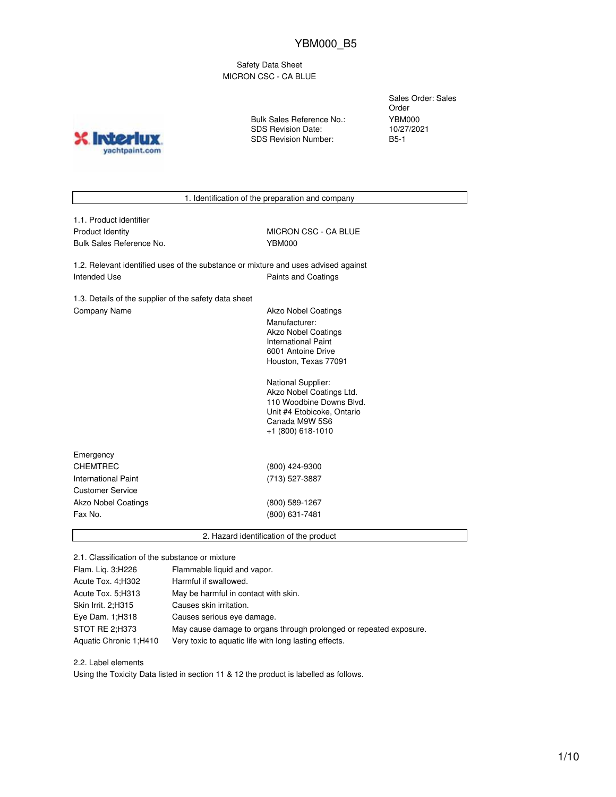Safety Data Sheet MICRON CSC - CA BLUE

**INTO?** yachtpaint.com Bulk Sales Reference No.: SDS Revision Date: SDS Revision Number:

Sales Order: Sales Order YBM000 10/27/2021 B5-1

1. Identification of the preparation and company

| 1.1. Product identifier |
|-------------------------|
| Product Identity        |
| Bulk Sales Reference No |

MICRON CSC - CA BLUE bulk Sales Reference No. YBM000

1.2. Relevant identified uses of the substance or mixture and uses advised against Intended Use **Paints and Coatings** 

1.3. Details of the supplier of the safety data sheet Company Name **Akzo Nobel Coatings** 

Manufacturer: Akzo Nobel Coatings International Paint 6001 Antoine Drive Houston, Texas 77091

National Supplier: Akzo Nobel Coatings Ltd. 110 Woodbine Downs Blvd. Unit #4 Etobicoke, Ontario Canada M9W 5S6 +1 (800) 618-1010

| Emergency                  |                |  |
|----------------------------|----------------|--|
| <b>CHEMTREC</b>            | (800) 424-9300 |  |
| International Paint        | (713) 527-3887 |  |
| <b>Customer Service</b>    |                |  |
| <b>Akzo Nobel Coatings</b> | (800) 589-1267 |  |
| Fax No.                    | (800) 631-7481 |  |
|                            |                |  |

2. Hazard identification of the product

2.1. Classification of the substance or mixture

| Flam. Lig. 3;H226      | Flammable liquid and vapor.                                        |
|------------------------|--------------------------------------------------------------------|
| Acute Tox. 4; H302     | Harmful if swallowed.                                              |
| Acute Tox. 5; H313     | May be harmful in contact with skin.                               |
| Skin Irrit. 2:H315     | Causes skin irritation.                                            |
| Eye Dam. $1:$ H318     | Causes serious eye damage.                                         |
| STOT RE 2;H373         | May cause damage to organs through prolonged or repeated exposure. |
| Aquatic Chronic 1;H410 | Very toxic to aquatic life with long lasting effects.              |

2.2. Label elements

Using the Toxicity Data listed in section 11 & 12 the product is labelled as follows.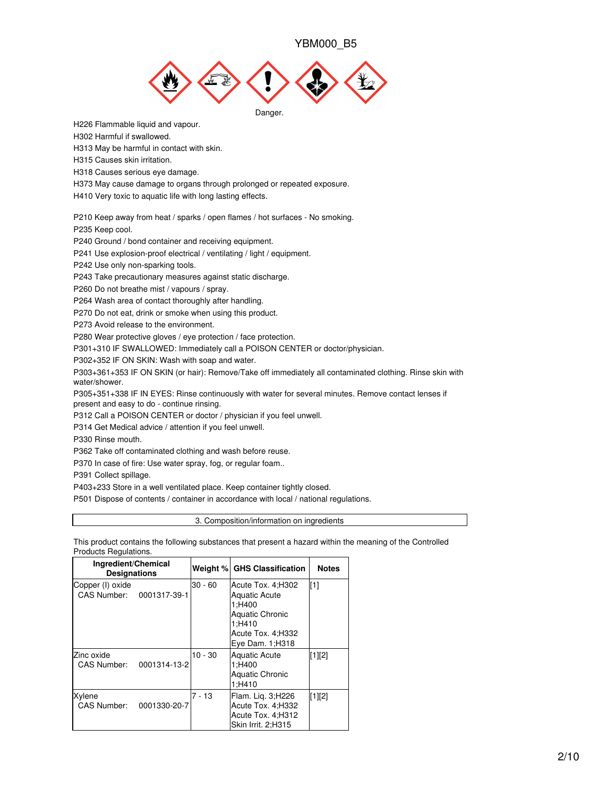

H226 Flammable liquid and vapour.

H302 Harmful if swallowed.

H313 May be harmful in contact with skin.

H315 Causes skin irritation.

H318 Causes serious eye damage.

H373 May cause damage to organs through prolonged or repeated exposure.

H410 Very toxic to aquatic life with long lasting effects.

P210 Keep away from heat / sparks / open flames / hot surfaces - No smoking.

P235 Keep cool.

P240 Ground / bond container and receiving equipment.

P241 Use explosion-proof electrical / ventilating / light / equipment.

P242 Use only non-sparking tools.

P243 Take precautionary measures against static discharge.

P260 Do not breathe mist / vapours / spray.

P264 Wash area of contact thoroughly after handling.

P270 Do not eat, drink or smoke when using this product.

P273 Avoid release to the environment.

P280 Wear protective gloves / eye protection / face protection.

P301+310 IF SWALLOWED: Immediately call a POISON CENTER or doctor/physician.

P302+352 IF ON SKIN: Wash with soap and water.

P303+361+353 IF ON SKIN (or hair): Remove/Take off immediately all contaminated clothing. Rinse skin with water/shower.

P305+351+338 IF IN EYES: Rinse continuously with water for several minutes. Remove contact lenses if present and easy to do - continue rinsing.

P312 Call a POISON CENTER or doctor / physician if you feel unwell.

P314 Get Medical advice / attention if you feel unwell.

P330 Rinse mouth.

P362 Take off contaminated clothing and wash before reuse.

P370 In case of fire: Use water spray, fog, or regular foam..

P391 Collect spillage.

P403+233 Store in a well ventilated place. Keep container tightly closed.

P501 Dispose of contents / container in accordance with local / national regulations.

3. Composition/information on ingredients

This product contains the following substances that present a hazard within the meaning of the Controlled Products Regulations.

| Ingredient/Chemical<br><b>Designations</b>   |              |           | Weight % GHS Classification                                                                                                       | <b>Notes</b> |
|----------------------------------------------|--------------|-----------|-----------------------------------------------------------------------------------------------------------------------------------|--------------|
| Copper (I) oxide<br>CAS Number: 0001317-39-1 |              | $30 - 60$ | Acute Tox. 4: H302<br><b>Aquatic Acute</b><br>1:H400<br><b>Aquatic Chronic</b><br>1:H410<br>Acute Tox. 4;H332<br>Eye Dam. 1; H318 | [1]          |
| Zinc oxide<br>CAS Number:                    | 0001314-13-2 | $10 - 30$ | Aquatic Acute<br>1:H400<br><b>Aquatic Chronic</b><br>1:H410                                                                       | $[1][2]$     |
| Xylene<br>CAS Number:                        | 0001330-20-7 | $7 - 13$  | Flam. Lig. 3;H226<br>Acute Tox. 4;H332<br>Acute Tox. 4;H312<br>Skin Irrit. 2;H315                                                 | $[1][2]$     |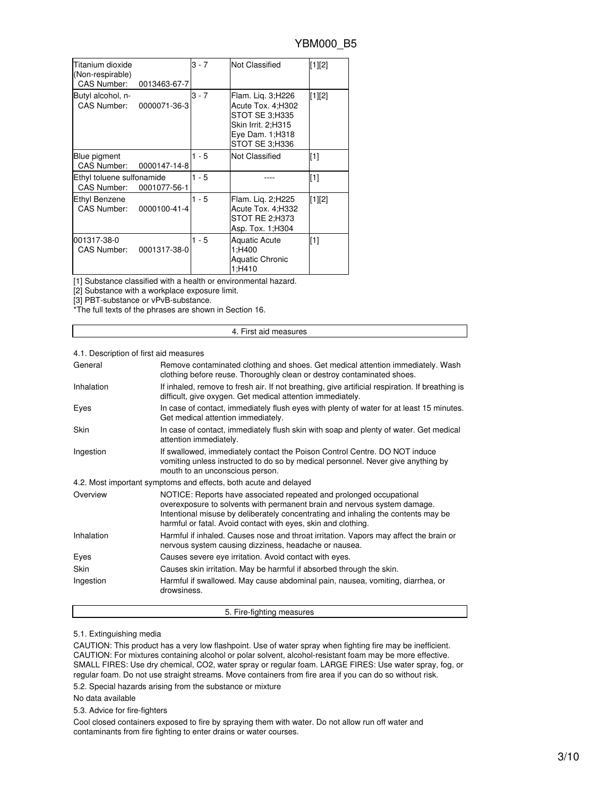| Titanium dioxide<br>(Non-respirable)<br>CAS Number: | 0013463-67-7 | $3 - 7$ | <b>Not Classified</b>                                                                                                | $[1][2]$ |
|-----------------------------------------------------|--------------|---------|----------------------------------------------------------------------------------------------------------------------|----------|
| Butyl alcohol, n-<br>CAS Number:                    | 0000071-36-3 | $3 - 7$ | Flam. Lig. 3;H226<br>Acute Tox. 4;H302<br>STOT SE 3:H335<br>Skin Irrit. 2:H315<br>Eye Dam. 1; H318<br>STOT SE 3:H336 | [1][2]   |
| Blue pigment<br>CAS Number:                         | 0000147-14-8 | $1 - 5$ | Not Classified                                                                                                       | [1]      |
| Ethyl toluene sulfonamide<br><b>CAS Number:</b>     | 0001077-56-1 | $1 - 5$ |                                                                                                                      | [1]      |
| Ethyl Benzene<br>CAS Number:                        | 0000100-41-4 | $1 - 5$ | Flam. Lig. 2; H225<br>Acute Tox. 4; H332<br>STOT RE 2:H373<br>Asp. Tox. 1; H304                                      | $[1][2]$ |
| 001317-38-0<br>CAS Number:                          | 0001317-38-0 | $1 - 5$ | <b>Aquatic Acute</b><br>1:H400<br><b>Aquatic Chronic</b><br>1;H410                                                   | [1]      |

[1] Substance classified with a health or environmental hazard.

[2] Substance with a workplace exposure limit.

[3] PBT-substance or vPvB-substance.

\*The full texts of the phrases are shown in Section 16.

#### 4. First aid measures

### 4.1. Description of first aid measures

| General    | Remove contaminated clothing and shoes. Get medical attention immediately. Wash<br>clothing before reuse. Thoroughly clean or destroy contaminated shoes.                                                                                                                                             |
|------------|-------------------------------------------------------------------------------------------------------------------------------------------------------------------------------------------------------------------------------------------------------------------------------------------------------|
| Inhalation | If inhaled, remove to fresh air. If not breathing, give artificial respiration. If breathing is<br>difficult, give oxygen. Get medical attention immediately.                                                                                                                                         |
| Eyes       | In case of contact, immediately flush eyes with plenty of water for at least 15 minutes.<br>Get medical attention immediately.                                                                                                                                                                        |
| Skin       | In case of contact, immediately flush skin with soap and plenty of water. Get medical<br>attention immediately.                                                                                                                                                                                       |
| Ingestion  | If swallowed, immediately contact the Poison Control Centre. DO NOT induce<br>vomiting unless instructed to do so by medical personnel. Never give anything by<br>mouth to an unconscious person.                                                                                                     |
|            | 4.2. Most important symptoms and effects, both acute and delayed                                                                                                                                                                                                                                      |
| Overview   | NOTICE: Reports have associated repeated and prolonged occupational<br>overexposure to solvents with permanent brain and nervous system damage.<br>Intentional misuse by deliberately concentrating and inhaling the contents may be<br>harmful or fatal. Avoid contact with eyes, skin and clothing. |
| Inhalation | Harmful if inhaled. Causes nose and throat irritation. Vapors may affect the brain or<br>nervous system causing dizziness, headache or nausea.                                                                                                                                                        |
| Eyes       | Causes severe eye irritation. Avoid contact with eyes.                                                                                                                                                                                                                                                |
| Skin       | Causes skin irritation. May be harmful if absorbed through the skin.                                                                                                                                                                                                                                  |
| Ingestion  | Harmful if swallowed. May cause abdominal pain, nausea, vomiting, diarrhea, or<br>drowsiness.                                                                                                                                                                                                         |
|            | 5. Fire-fighting measures                                                                                                                                                                                                                                                                             |

#### 5.1. Extinguishing media

CAUTION: This product has a very low flashpoint. Use of water spray when fighting fire may be inefficient. CAUTION: For mixtures containing alcohol or polar solvent, alcohol-resistant foam may be more effective. SMALL FIRES: Use dry chemical, CO2, water spray or regular foam. LARGE FIRES: Use water spray, fog, or regular foam. Do not use straight streams. Move containers from fire area if you can do so without risk.

5.2. Special hazards arising from the substance or mixture

No data available

5.3. Advice for fire-fighters

Cool closed containers exposed to fire by spraying them with water. Do not allow run off water and contaminants from fire fighting to enter drains or water courses.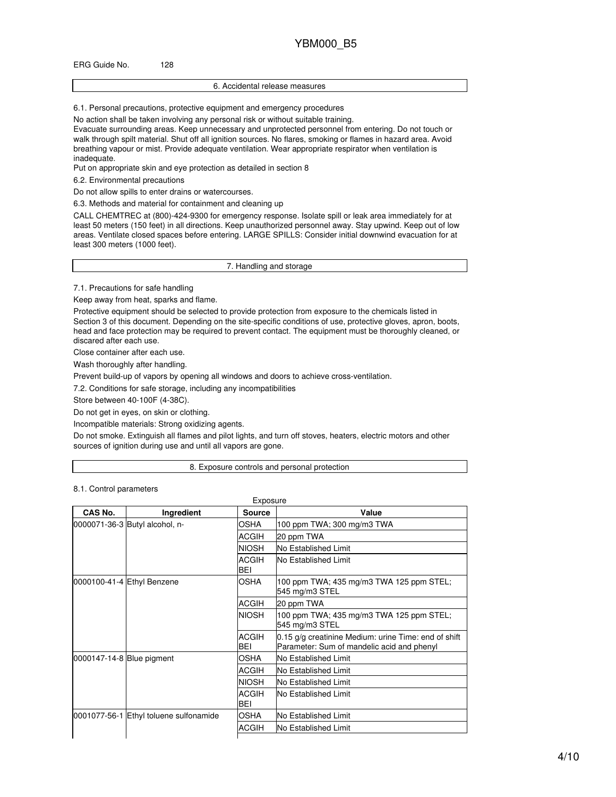### ERG Guide No. 128

#### 6. Accidental release measures

6.1. Personal precautions, protective equipment and emergency procedures

No action shall be taken involving any personal risk or without suitable training.

Evacuate surrounding areas. Keep unnecessary and unprotected personnel from entering. Do not touch or walk through spilt material. Shut off all ignition sources. No flares, smoking or flames in hazard area. Avoid breathing vapour or mist. Provide adequate ventilation. Wear appropriate respirator when ventilation is inadequate.

Put on appropriate skin and eye protection as detailed in section 8

6.2. Environmental precautions

Do not allow spills to enter drains or watercourses.

6.3. Methods and material for containment and cleaning up

CALL CHEMTREC at (800)-424-9300 for emergency response. Isolate spill or leak area immediately for at least 50 meters (150 feet) in all directions. Keep unauthorized personnel away. Stay upwind. Keep out of low areas. Ventilate closed spaces before entering. LARGE SPILLS: Consider initial downwind evacuation for at least 300 meters (1000 feet).

7. Handling and storage

7.1. Precautions for safe handling

Keep away from heat, sparks and flame.

Protective equipment should be selected to provide protection from exposure to the chemicals listed in Section 3 of this document. Depending on the site-specific conditions of use, protective gloves, apron, boots, head and face protection may be required to prevent contact. The equipment must be thoroughly cleaned, or discared after each use.

Close container after each use.

Wash thoroughly after handling.

Prevent build-up of vapors by opening all windows and doors to achieve cross-ventilation.

7.2. Conditions for safe storage, including any incompatibilities

Store between 40-100F (4-38C).

Do not get in eyes, on skin or clothing.

Incompatible materials: Strong oxidizing agents.

Do not smoke. Extinguish all flames and pilot lights, and turn off stoves, heaters, electric motors and other sources of ignition during use and until all vapors are gone.

8. Exposure controls and personal protection

8.1. Control parameters

| CAS No.                   | Ingredient                             | <b>Source</b>       | Value                                                                                              |
|---------------------------|----------------------------------------|---------------------|----------------------------------------------------------------------------------------------------|
|                           | 0000071-36-3 Butyl alcohol, n-         | OSHA                | 100 ppm TWA; 300 mg/m3 TWA                                                                         |
|                           |                                        | <b>ACGIH</b>        | 20 ppm TWA                                                                                         |
|                           |                                        | <b>NIOSH</b>        | No Established Limit                                                                               |
|                           |                                        | <b>ACGIH</b><br>BEI | <b>No Established Limit</b>                                                                        |
|                           | 0000100-41-4 Ethyl Benzene             | OSHA                | 100 ppm TWA; 435 mg/m3 TWA 125 ppm STEL;<br>545 mg/m3 STEL                                         |
|                           |                                        | <b>ACGIH</b>        | 20 ppm TWA                                                                                         |
|                           |                                        | <b>NIOSH</b>        | 100 ppm TWA; 435 mg/m3 TWA 125 ppm STEL;<br>545 mg/m3 STEL                                         |
|                           |                                        | <b>ACGIH</b><br>BEI | 0.15 g/g creatinine Medium: urine Time: end of shift<br>Parameter: Sum of mandelic acid and phenyl |
| 0000147-14-8 Blue pigment |                                        | OSHA                | No Established Limit                                                                               |
|                           |                                        | <b>ACGIH</b>        | No Established Limit                                                                               |
|                           |                                        | <b>NIOSH</b>        | No Established Limit                                                                               |
|                           |                                        | <b>ACGIH</b><br>BEI | <b>No Established Limit</b>                                                                        |
|                           | 0001077-56-1 Ethyl toluene sulfonamide | OSHA                | No Established Limit                                                                               |
|                           |                                        | <b>ACGIH</b>        | No Established Limit                                                                               |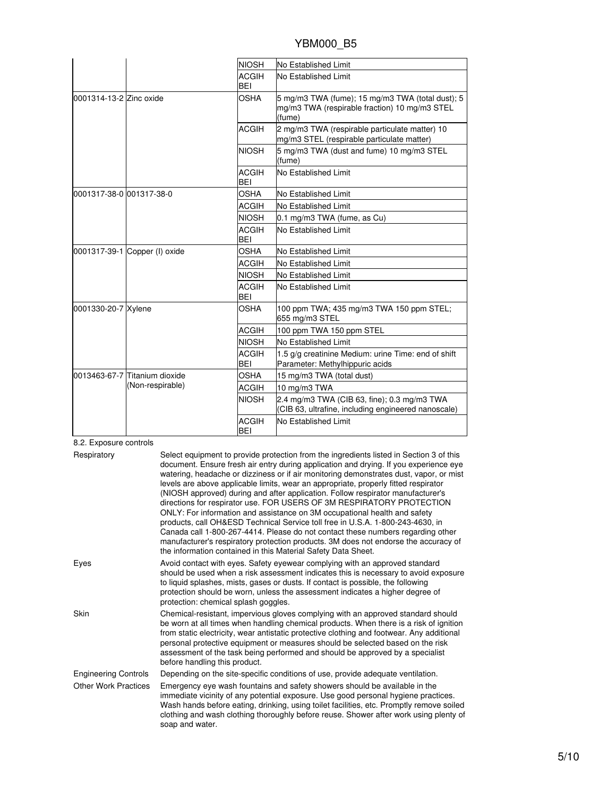|                          |                               | <b>NIOSH</b>               | No Established Limit                                                                                        |
|--------------------------|-------------------------------|----------------------------|-------------------------------------------------------------------------------------------------------------|
|                          |                               | <b>ACGIH</b><br><b>BEI</b> | No Established Limit                                                                                        |
| 0001314-13-2 Zinc oxide  |                               | <b>OSHA</b>                | 5 mg/m3 TWA (fume); 15 mg/m3 TWA (total dust); 5<br>mg/m3 TWA (respirable fraction) 10 mg/m3 STEL<br>(fume) |
|                          |                               | <b>ACGIH</b>               | 2 mg/m3 TWA (respirable particulate matter) 10<br>mg/m3 STEL (respirable particulate matter)                |
|                          |                               | <b>NIOSH</b>               | 5 mg/m3 TWA (dust and fume) 10 mg/m3 STEL<br>(fume)                                                         |
|                          |                               | <b>ACGIH</b><br><b>BEI</b> | No Established Limit                                                                                        |
| 0001317-38-0 001317-38-0 |                               | <b>OSHA</b>                | No Established Limit                                                                                        |
|                          |                               | <b>ACGIH</b>               | No Established Limit                                                                                        |
|                          |                               | <b>NIOSH</b>               | 0.1 mg/m3 TWA (fume, as Cu)                                                                                 |
|                          |                               | <b>ACGIH</b><br>BEI        | No Established Limit                                                                                        |
|                          | 0001317-39-1 Copper (I) oxide | <b>OSHA</b>                | No Established Limit                                                                                        |
|                          |                               | <b>ACGIH</b>               | No Established Limit                                                                                        |
|                          |                               | <b>NIOSH</b>               | No Established Limit                                                                                        |
|                          |                               | <b>ACGIH</b><br><b>BEI</b> | No Established Limit                                                                                        |
| 0001330-20-7 Xylene      |                               | OSHA                       | 100 ppm TWA; 435 mg/m3 TWA 150 ppm STEL;<br>655 mg/m3 STEL                                                  |
|                          |                               | <b>ACGIH</b>               | 100 ppm TWA 150 ppm STEL                                                                                    |
|                          |                               | <b>NIOSH</b>               | No Established Limit                                                                                        |
|                          |                               | <b>ACGIH</b><br><b>BEI</b> | 1.5 g/g creatinine Medium: urine Time: end of shift<br>Parameter: Methylhippuric acids                      |
|                          | 0013463-67-7 Titanium dioxide | <b>OSHA</b>                | 15 mg/m3 TWA (total dust)                                                                                   |
|                          | (Non-respirable)              | <b>ACGIH</b>               | 10 mg/m3 TWA                                                                                                |
|                          |                               | <b>NIOSH</b>               | 2.4 mg/m3 TWA (CIB 63, fine); 0.3 mg/m3 TWA<br>(CIB 63, ultrafine, including engineered nanoscale)          |
|                          |                               | <b>ACGIH</b><br><b>BEI</b> | No Established Limit                                                                                        |

8.2. Exposure controls

| Respiratory                 | Select equipment to provide protection from the ingredients listed in Section 3 of this<br>document. Ensure fresh air entry during application and drying. If you experience eye<br>watering, headache or dizziness or if air monitoring demonstrates dust, vapor, or mist<br>levels are above applicable limits, wear an appropriate, properly fitted respirator<br>(NIOSH approved) during and after application. Follow respirator manufacturer's<br>directions for respirator use. FOR USERS OF 3M RESPIRATORY PROTECTION<br>ONLY: For information and assistance on 3M occupational health and safety<br>products, call OH&ESD Technical Service toll free in U.S.A. 1-800-243-4630, in<br>Canada call 1-800-267-4414. Please do not contact these numbers regarding other<br>manufacturer's respiratory protection products. 3M does not endorse the accuracy of<br>the information contained in this Material Safety Data Sheet. |
|-----------------------------|-----------------------------------------------------------------------------------------------------------------------------------------------------------------------------------------------------------------------------------------------------------------------------------------------------------------------------------------------------------------------------------------------------------------------------------------------------------------------------------------------------------------------------------------------------------------------------------------------------------------------------------------------------------------------------------------------------------------------------------------------------------------------------------------------------------------------------------------------------------------------------------------------------------------------------------------|
| Eyes                        | Avoid contact with eyes. Safety eyewear complying with an approved standard<br>should be used when a risk assessment indicates this is necessary to avoid exposure<br>to liquid splashes, mists, gases or dusts. If contact is possible, the following<br>protection should be worn, unless the assessment indicates a higher degree of<br>protection: chemical splash goggles.                                                                                                                                                                                                                                                                                                                                                                                                                                                                                                                                                         |
| Skin                        | Chemical-resistant, impervious gloves complying with an approved standard should<br>be worn at all times when handling chemical products. When there is a risk of ignition<br>from static electricity, wear antistatic protective clothing and footwear. Any additional<br>personal protective equipment or measures should be selected based on the risk<br>assessment of the task being performed and should be approved by a specialist<br>before handling this product.                                                                                                                                                                                                                                                                                                                                                                                                                                                             |
| <b>Engineering Controls</b> | Depending on the site-specific conditions of use, provide adequate ventilation.                                                                                                                                                                                                                                                                                                                                                                                                                                                                                                                                                                                                                                                                                                                                                                                                                                                         |
| <b>Other Work Practices</b> | Emergency eye wash fountains and safety showers should be available in the<br>immediate vicinity of any potential exposure. Use good personal hygiene practices.<br>Wash hands before eating, drinking, using toilet facilities, etc. Promptly remove soiled<br>clothing and wash clothing thoroughly before reuse. Shower after work using plenty of<br>soap and water.                                                                                                                                                                                                                                                                                                                                                                                                                                                                                                                                                                |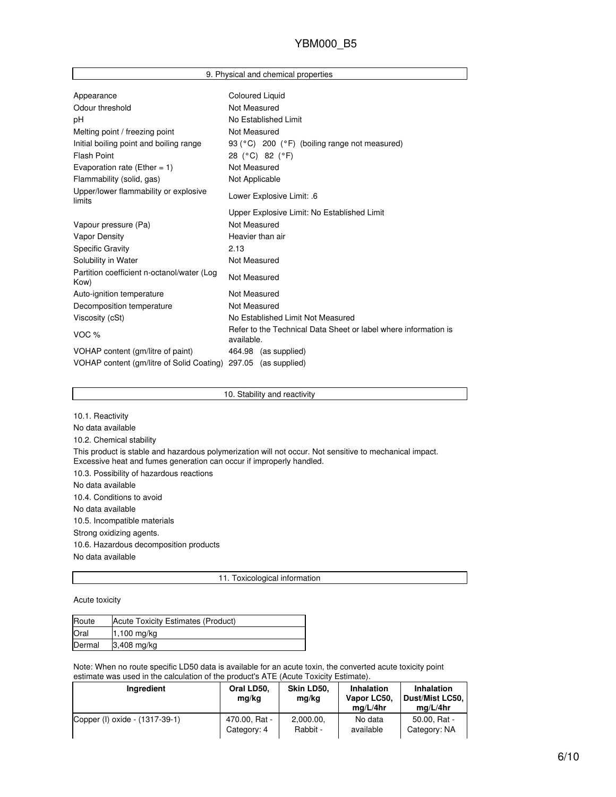|  |  |  |  | 9. Physical and chemical properties |
|--|--|--|--|-------------------------------------|
|--|--|--|--|-------------------------------------|

| Appearance                                                     | <b>Coloured Liquid</b>                                                        |
|----------------------------------------------------------------|-------------------------------------------------------------------------------|
| Odour threshold                                                | Not Measured                                                                  |
| рH                                                             | No Established Limit                                                          |
| Melting point / freezing point                                 | Not Measured                                                                  |
| Initial boiling point and boiling range                        | 93 (°C) 200 (°F) (boiling range not measured)                                 |
| <b>Flash Point</b>                                             | 28 (°C) 82 (°F)                                                               |
| Evaporation rate (Ether = $1$ )                                | Not Measured                                                                  |
| Flammability (solid, gas)                                      | Not Applicable                                                                |
| Upper/lower flammability or explosive<br>limits                | Lower Explosive Limit: .6                                                     |
|                                                                | Upper Explosive Limit: No Established Limit                                   |
| Vapour pressure (Pa)                                           | Not Measured                                                                  |
| <b>Vapor Density</b>                                           | Heavier than air                                                              |
| <b>Specific Gravity</b>                                        | 2.13                                                                          |
| Solubility in Water                                            | Not Measured                                                                  |
| Partition coefficient n-octanol/water (Log<br>Kow)             | Not Measured                                                                  |
| Auto-ignition temperature                                      | Not Measured                                                                  |
| Decomposition temperature                                      | Not Measured                                                                  |
| Viscosity (cSt)                                                | No Established Limit Not Measured                                             |
| VOC %                                                          | Refer to the Technical Data Sheet or label where information is<br>available. |
| VOHAP content (gm/litre of paint)                              | 464.98 (as supplied)                                                          |
| VOHAP content (gm/litre of Solid Coating) 297.05 (as supplied) |                                                                               |

10. Stability and reactivity

10.1. Reactivity No data available 10.2. Chemical stability This product is stable and hazardous polymerization will not occur. Not sensitive to mechanical impact. Excessive heat and fumes generation can occur if improperly handled. 10.3. Possibility of hazardous reactions No data available 10.4. Conditions to avoid No data available 10.5. Incompatible materials Strong oxidizing agents. 10.6. Hazardous decomposition products No data available

11. Toxicological information

Acute toxicity

| Route  | Acute Toxicity Estimates (Product) |
|--------|------------------------------------|
| Oral   | 1,100 mg/kg                        |
| Dermal | $3,408$ mg/kg                      |

Note: When no route specific LD50 data is available for an acute toxin, the converted acute toxicity point estimate was used in the calculation of the product's ATE (Acute Toxicity Estimate).

| Ingredient                     | Oral LD50,<br>mg/kg | Skin LD50.<br>mg/kg | <b>Inhalation</b><br>Vapor LC50,<br>ma/L/4hr | <b>Inhalation</b><br>  Dust/Mist LC50,<br>ma/L/4hr |
|--------------------------------|---------------------|---------------------|----------------------------------------------|----------------------------------------------------|
| Copper (I) oxide - (1317-39-1) | 470.00, Rat -       | 2,000.00,           | No data                                      | 50.00, Rat -                                       |
|                                | Category: 4         | Rabbit -            | available                                    | Category: NA                                       |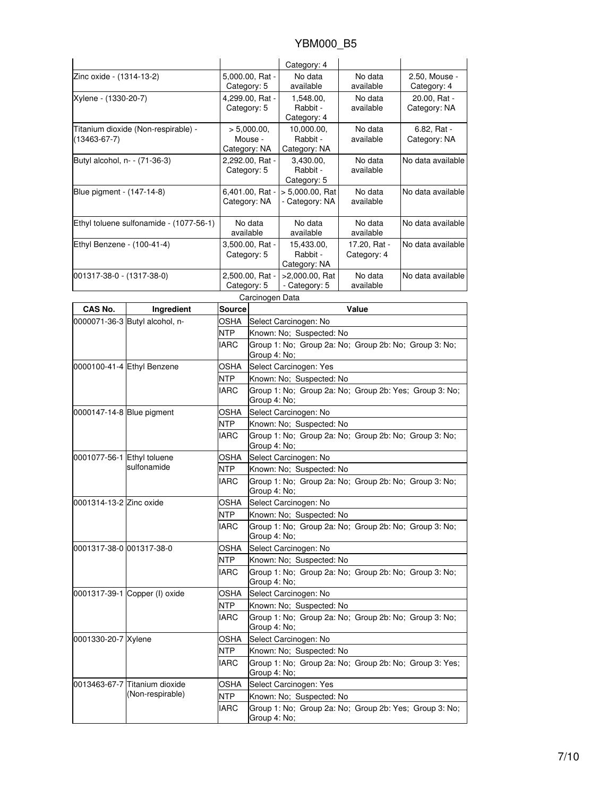|                               |                                                            |                                                |                                                                        | Category: 4                                           |                             |                                                        |  |
|-------------------------------|------------------------------------------------------------|------------------------------------------------|------------------------------------------------------------------------|-------------------------------------------------------|-----------------------------|--------------------------------------------------------|--|
|                               | 5,000.00, Rat -<br>Zinc oxide - (1314-13-2)<br>Category: 5 |                                                |                                                                        | No data<br>available                                  | No data<br>available        | 2.50, Mouse -<br>Category: 4                           |  |
| Xylene - (1330-20-7)          |                                                            | 4,299.00, Rat -<br>Category: 5                 |                                                                        | 1,548.00,<br>Rabbit -<br>Category: 4                  | No data<br>available        | 20.00, Rat -<br>Category: NA                           |  |
| $(13463 - 67 - 7)$            | Titanium dioxide (Non-respirable) -                        | > 5,000.00,<br>Mouse -                         |                                                                        | 10.000.00.<br>Rabbit -<br>Category: NA                | No data<br>available        | 6.82, Rat -<br>Category: NA                            |  |
| Butyl alcohol, n- - (71-36-3) |                                                            | Category: NA<br>2,292.00, Rat -<br>Category: 5 |                                                                        | 3,430.00,<br>Rabbit -<br>Category: 5                  | No data<br>available        | No data available                                      |  |
| Blue pigment - (147-14-8)     |                                                            | 6,401.00, Rat -<br>Category: NA                |                                                                        | $> 5,000.00$ , Rat<br>- Category: NA                  | No data<br>available        | No data available                                      |  |
|                               | Ethyl toluene sulfonamide - (1077-56-1)                    | No data<br>available                           |                                                                        | No data<br>available                                  | No data<br>available        | No data available                                      |  |
| Ethyl Benzene - (100-41-4)    |                                                            | 3,500.00, Rat -<br>Category: 5                 |                                                                        | 15,433.00,<br>Rabbit -<br>Category: NA                | 17.20, Rat -<br>Category: 4 | No data available                                      |  |
| 001317-38-0 - (1317-38-0)     |                                                            | Category: 5                                    | 2,500.00, Rat -                                                        | >2,000.00, Rat<br>- Category: 5                       | No data<br>available        | No data available                                      |  |
|                               |                                                            |                                                | Carcinogen Data                                                        |                                                       |                             |                                                        |  |
| CAS No.                       | Ingredient                                                 | <b>Source</b>                                  |                                                                        |                                                       | Value                       |                                                        |  |
|                               | 0000071-36-3 Butyl alcohol, n-                             | OSHA                                           |                                                                        | Select Carcinogen: No                                 |                             |                                                        |  |
|                               |                                                            | <b>NTP</b>                                     | Known: No: Suspected: No                                               |                                                       |                             |                                                        |  |
|                               |                                                            | <b>IARC</b>                                    | Group 1: No; Group 2a: No; Group 2b: No; Group 3: No;<br>Group 4: No;  |                                                       |                             |                                                        |  |
|                               | 0000100-41-4 Ethyl Benzene                                 | OSHA                                           | Select Carcinogen: Yes                                                 |                                                       |                             |                                                        |  |
|                               |                                                            | NTP                                            | Known: No; Suspected: No                                               |                                                       |                             |                                                        |  |
|                               |                                                            | <b>IARC</b>                                    | Group 1: No; Group 2a: No; Group 2b: Yes; Group 3: No;<br>Group 4: No; |                                                       |                             |                                                        |  |
| 0000147-14-8 Blue pigment     |                                                            | <b>OSHA</b>                                    |                                                                        | Select Carcinogen: No                                 |                             |                                                        |  |
|                               |                                                            | NTP                                            |                                                                        | Known: No; Suspected: No                              |                             |                                                        |  |
|                               |                                                            | IARC                                           | Group 1: No; Group 2a: No; Group 2b: No; Group 3: No;<br>Group 4: No;  |                                                       |                             |                                                        |  |
| 0001077-56-1 Ethyl toluene    |                                                            | OSHA                                           | Select Carcinogen: No                                                  |                                                       |                             |                                                        |  |
|                               | sulfonamide                                                | <b>NTP</b>                                     | Known: No; Suspected: No                                               |                                                       |                             |                                                        |  |
|                               |                                                            | <b>IARC</b>                                    | Group 1: No; Group 2a: No; Group 2b: No; Group 3: No;<br>Group 4: No;  |                                                       |                             |                                                        |  |
| 0001314-13-2 Zinc oxide       |                                                            | <b>OSHA</b>                                    | Select Carcinogen: No                                                  |                                                       |                             |                                                        |  |
|                               |                                                            | <b>NTP</b>                                     | Known: No; Suspected: No                                               |                                                       |                             |                                                        |  |
|                               |                                                            | IARC                                           | Group 4: No;                                                           | Group 1: No: Group 2a: No: Group 2b: No: Group 3: No: |                             |                                                        |  |
| 0001317-38-0 001317-38-0      |                                                            | OSHA                                           | Select Carcinogen: No                                                  |                                                       |                             |                                                        |  |
|                               |                                                            | NTP                                            |                                                                        | Known: No; Suspected: No                              |                             |                                                        |  |
|                               |                                                            | IARC                                           | Group 4: No;                                                           | Group 1: No; Group 2a: No; Group 2b: No; Group 3: No; |                             |                                                        |  |
| 0001317-39-1 Copper (I) oxide |                                                            | OSHA                                           | Select Carcinogen: No                                                  |                                                       |                             |                                                        |  |
|                               |                                                            | NTP                                            | Known: No; Suspected: No                                               |                                                       |                             |                                                        |  |
|                               |                                                            | IARC                                           | Group 1: No; Group 2a: No; Group 2b: No; Group 3: No;<br>Group 4: No;  |                                                       |                             |                                                        |  |
| 0001330-20-7 Xylene           |                                                            | OSHA                                           | Select Carcinogen: No                                                  |                                                       |                             |                                                        |  |
|                               |                                                            | NTP                                            | Known: No; Suspected: No                                               |                                                       |                             |                                                        |  |
|                               |                                                            | IARC                                           | Group 4: No;                                                           |                                                       |                             | Group 1: No; Group 2a: No; Group 2b: No; Group 3: Yes; |  |
|                               | 0013463-67-7 Titanium dioxide                              | OSHA                                           | Select Carcinogen: Yes                                                 |                                                       |                             |                                                        |  |
|                               | (Non-respirable)                                           | NTP                                            | Known: No; Suspected: No                                               |                                                       |                             |                                                        |  |
|                               |                                                            | <b>IARC</b>                                    | Group 4: No;                                                           |                                                       |                             | Group 1: No; Group 2a: No; Group 2b: Yes; Group 3: No; |  |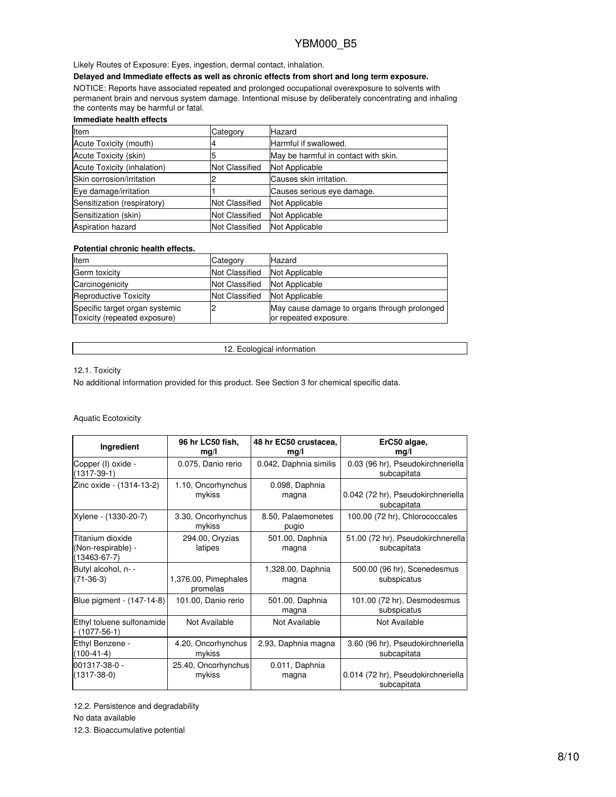### Likely Routes of Exposure: Eyes, ingestion, dermal contact, inhalation.

## **Delayed and Immediate effects as well as chronic effects from short and long term exposure.**

NOTICE: Reports have associated repeated and prolonged occupational overexposure to solvents with permanent brain and nervous system damage. Intentional misuse by deliberately concentrating and inhaling the contents may be harmful or fatal.

### **Immediate health effects**

| <b>Item</b>                 | Category              | Hazard                               |
|-----------------------------|-----------------------|--------------------------------------|
| Acute Toxicity (mouth)      |                       | Harmful if swallowed.                |
| Acute Toxicity (skin)       |                       | May be harmful in contact with skin. |
| Acute Toxicity (inhalation) | <b>Not Classified</b> | Not Applicable                       |
| Skin corrosion/irritation   |                       | Causes skin irritation.              |
| Eye damage/irritation       |                       | Causes serious eye damage.           |
| Sensitization (respiratory) | Not Classified        | <b>Not Applicable</b>                |
| Sensitization (skin)        | <b>Not Classified</b> | <b>Not Applicable</b>                |
| <b>Aspiration hazard</b>    | <b>Not Classified</b> | Not Applicable                       |

### **Potential chronic health effects.**

| Item                                                           | Category              | Hazard                                                                |
|----------------------------------------------------------------|-----------------------|-----------------------------------------------------------------------|
| Germ toxicity                                                  | <b>Not Classified</b> | Not Applicable                                                        |
| Carcinogenicity                                                | <b>Not Classified</b> | Not Applicable                                                        |
| Reproductive Toxicity                                          | <b>Not Classified</b> | Not Applicable                                                        |
| Specific target organ systemic<br>Toxicity (repeated exposure) |                       | May cause damage to organs through prolonged<br>or repeated exposure. |

12. Ecological information

### 12.1. Toxicity

No additional information provided for this product. See Section 3 for chemical specific data.

### Aquatic Ecotoxicity

| Ingredient                                                   | 96 hr LC50 fish,             | 48 hr EC50 crustacea,       | ErC50 algae,                                     |
|--------------------------------------------------------------|------------------------------|-----------------------------|--------------------------------------------------|
|                                                              | mg/l                         | mq/l                        | mg/l                                             |
| Copper (I) oxide -<br>$(1317-39-1)$                          | 0.075, Danio rerio           | 0.042, Daphnia similis      | 0.03 (96 hr), Pseudokirchneriella<br>subcapitata |
| Zinc oxide - (1314-13-2)                                     | 1.10, Oncorhynchus           | 0.098, Daphnia              | 0.042 (72 hr), Pseudokirchneriella               |
|                                                              | mykiss                       | magna                       | subcapitata                                      |
| Xylene - (1330-20-7)                                         | 3.30, Oncorhynchus<br>mykiss | 8.50, Palaemonetes<br>pugio | 100.00 (72 hr), Chlorococcales                   |
| Titanium dioxide<br>(Non-respirable) -<br>$(13463 - 67 - 7)$ | 294.00, Oryzias<br>latipes   | 501.00, Daphnia<br>magna    | 51.00 (72 hr), Pseudokirchnerella<br>subcapitata |
| Butyl alcohol, n- -                                          | 1,376.00, Pimephales         | 1,328.00, Daphnia           | 500.00 (96 hr), Scenedesmus                      |
| $(71-36-3)$                                                  | promelas                     | magna                       | subspicatus                                      |
| Blue pigment - (147-14-8)                                    | 101.00, Danio rerio          | 501.00, Daphnia<br>magna    | 101.00 (72 hr), Desmodesmus<br>subspicatus       |
| Ethyl toluene sulfonamide<br>$(1077-56-1)$                   | Not Available                | Not Available               | Not Available                                    |
| Ethyl Benzene -                                              | 4.20, Oncorhynchus           | 2.93, Daphnia magna         | 3.60 (96 hr), Pseudokirchneriella                |
| $(100-41-4)$                                                 | mykiss                       |                             | subcapitata                                      |
| 001317-38-0 -                                                | 25.40, Oncorhynchus          | 0.011, Daphnia              | 0.014 (72 hr), Pseudokirchneriella               |
| $(1317 - 38 - 0)$                                            | mykiss                       | magna                       | subcapitata                                      |

12.2. Persistence and degradability

No data available

12.3. Bioaccumulative potential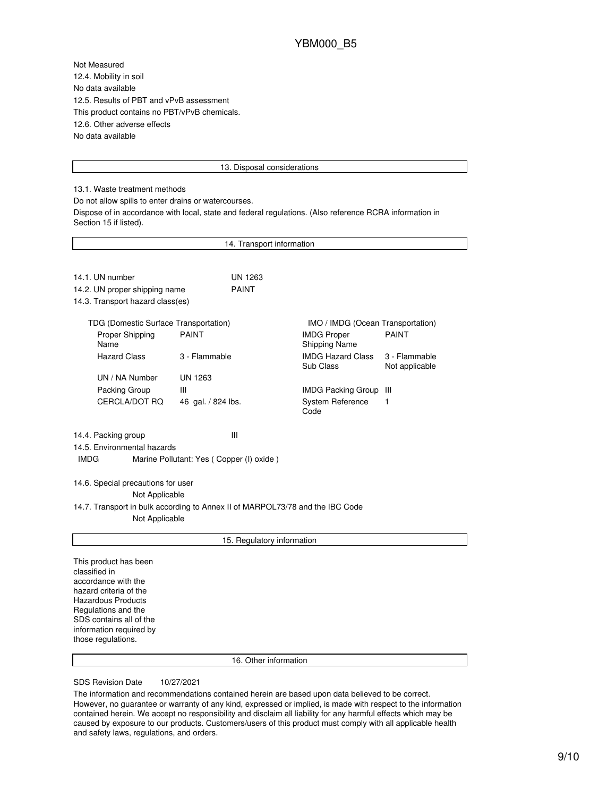Not Measured 12.4. Mobility in soil No data available 12.5. Results of PBT and vPvB assessment This product contains no PBT/vPvB chemicals. 12.6. Other adverse effects No data available

#### 13. Disposal considerations

13.1. Waste treatment methods

Do not allow spills to enter drains or watercourses.

Dispose of in accordance with local, state and federal regulations. (Also reference RCRA information in Section 15 if listed).

|                                                                                                                                                                                                                         | 14. Transport information                     |                                            |                                 |
|-------------------------------------------------------------------------------------------------------------------------------------------------------------------------------------------------------------------------|-----------------------------------------------|--------------------------------------------|---------------------------------|
|                                                                                                                                                                                                                         |                                               |                                            |                                 |
| 14.1. UN number                                                                                                                                                                                                         | <b>UN 1263</b>                                |                                            |                                 |
| 14.2. UN proper shipping name                                                                                                                                                                                           | <b>PAINT</b>                                  |                                            |                                 |
| 14.3. Transport hazard class(es)                                                                                                                                                                                        |                                               |                                            |                                 |
| TDG (Domestic Surface Transportation)                                                                                                                                                                                   |                                               | IMO / IMDG (Ocean Transportation)          |                                 |
| Proper Shipping<br>Name                                                                                                                                                                                                 | <b>PAINT</b>                                  | <b>IMDG Proper</b><br><b>Shipping Name</b> | <b>PAINT</b>                    |
| <b>Hazard Class</b>                                                                                                                                                                                                     | 3 - Flammable                                 | <b>IMDG Hazard Class</b><br>Sub Class      | 3 - Flammable<br>Not applicable |
| UN / NA Number                                                                                                                                                                                                          | <b>UN 1263</b>                                |                                            |                                 |
| Packing Group                                                                                                                                                                                                           | Ш                                             | <b>IMDG Packing Group</b>                  | Ш                               |
| CERCLA/DOT RQ                                                                                                                                                                                                           | 46 gal. / 824 lbs.                            | <b>System Reference</b><br>Code            | 1                               |
| 14.4. Packing group<br>14.5. Environmental hazards<br><b>IMDG</b>                                                                                                                                                       | Ш<br>Marine Pollutant: Yes (Copper (I) oxide) |                                            |                                 |
| 14.6. Special precautions for user<br>Not Applicable<br>14.7. Transport in bulk according to Annex II of MARPOL73/78 and the IBC Code<br>Not Applicable                                                                 |                                               |                                            |                                 |
|                                                                                                                                                                                                                         |                                               |                                            |                                 |
|                                                                                                                                                                                                                         | 15. Regulatory information                    |                                            |                                 |
| This product has been<br>classified in<br>accordance with the<br>hazard criteria of the<br><b>Hazardous Products</b><br>Regulations and the<br>SDS contains all of the<br>information required by<br>those regulations. |                                               |                                            |                                 |
|                                                                                                                                                                                                                         | 16. Other information                         |                                            |                                 |
|                                                                                                                                                                                                                         |                                               |                                            |                                 |

SDS Revision Date 10/27/2021

The information and recommendations contained herein are based upon data believed to be correct. However, no guarantee or warranty of any kind, expressed or implied, is made with respect to the information contained herein. We accept no responsibility and disclaim all liability for any harmful effects which may be caused by exposure to our products. Customers/users of this product must comply with all applicable health and safety laws, regulations, and orders.